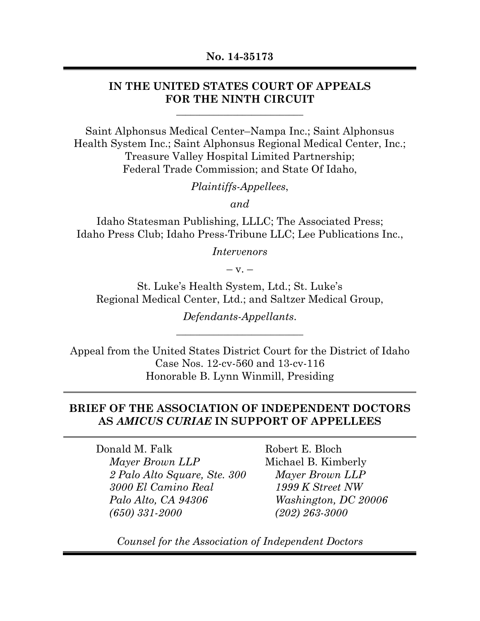## **IN THE UNITED STATES COURT OF APPEALS FOR THE NINTH CIRCUIT**

**\_\_\_\_\_\_\_\_\_\_\_\_\_\_\_\_\_\_\_\_\_\_\_\_\_\_\_** 

Saint Alphonsus Medical Center–Nampa Inc.; Saint Alphonsus Health System Inc.; Saint Alphonsus Regional Medical Center, Inc.; Treasure Valley Hospital Limited Partnership; Federal Trade Commission; and State Of Idaho,

*Plaintiffs-Appellees*,

*and* 

Idaho Statesman Publishing, LLLC; The Associated Press; Idaho Press Club; Idaho Press-Tribune LLC; Lee Publications Inc.,

*Intervenors* 

 $-$  v.  $-$ 

St. Luke's Health System, Ltd.; St. Luke's Regional Medical Center, Ltd.; and Saltzer Medical Group,

> *Defendants-Appellants*. **\_\_\_\_\_\_\_\_\_\_\_\_\_\_\_\_\_\_\_\_\_\_\_\_\_\_\_**

Appeal from the United States District Court for the District of Idaho Case Nos. 12-cv-560 and 13-cv-116 Honorable B. Lynn Winmill, Presiding

### **BRIEF OF THE ASSOCIATION OF INDEPENDENT DOCTORS AS** *AMICUS CURIAE* **IN SUPPORT OF APPELLEES**

Donald M. Falk *Mayer Brown LLP 2 Palo Alto Square, Ste. 300 3000 El Camino Real Palo Alto, CA 94306 (650) 331-2000*

Robert E. Bloch Michael B. Kimberly *Mayer Brown LLP 1999 K Street NW Washington, DC 20006 (202) 263-3000*

*Counsel for the Association of Independent Doctors*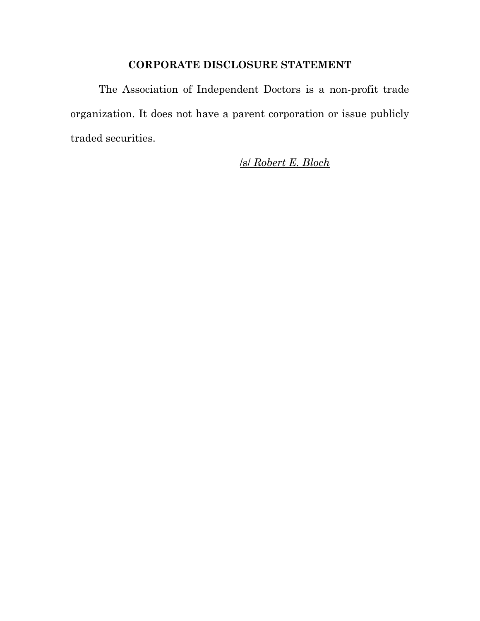## **CORPORATE DISCLOSURE STATEMENT**

The Association of Independent Doctors is a non-profit trade organization. It does not have a parent corporation or issue publicly traded securities.

/s/ *Robert E. Bloch*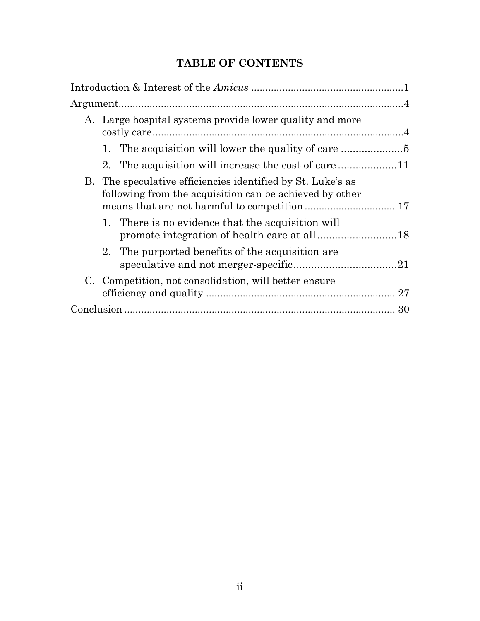# **TABLE OF CONTENTS**

|  | A. Large hospital systems provide lower quality and more                                                               |  |
|--|------------------------------------------------------------------------------------------------------------------------|--|
|  | 1. The acquisition will lower the quality of care                                                                      |  |
|  | 2. The acquisition will increase the cost of care                                                                      |  |
|  | B. The speculative efficiencies identified by St. Luke's as<br>following from the acquisition can be achieved by other |  |
|  | There is no evidence that the acquisition will<br>1.                                                                   |  |
|  | 2. The purported benefits of the acquisition are                                                                       |  |
|  | C. Competition, not consolidation, will better ensure                                                                  |  |
|  |                                                                                                                        |  |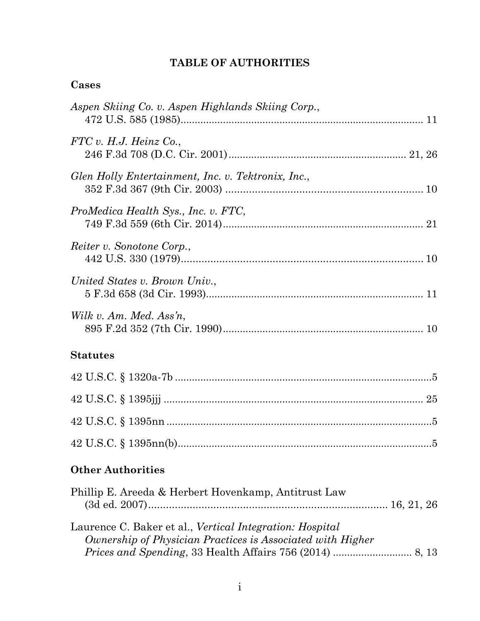## **TABLE OF AUTHORITIES**

| Cases |
|-------|
|-------|

| Aspen Skiing Co. v. Aspen Highlands Skiing Corp.,                                                                      |
|------------------------------------------------------------------------------------------------------------------------|
| FTC v. H.J. Heinz Co.,                                                                                                 |
| Glen Holly Entertainment, Inc. v. Tektronix, Inc.,                                                                     |
| ProMedica Health Sys., Inc. v. FTC,                                                                                    |
| Reiter v. Sonotone Corp.,                                                                                              |
| United States v. Brown Univ.,                                                                                          |
| Wilk v. Am. Med. Ass'n,                                                                                                |
| <b>Statutes</b>                                                                                                        |
|                                                                                                                        |
|                                                                                                                        |
|                                                                                                                        |
|                                                                                                                        |
| <b>Other Authorities</b>                                                                                               |
| Phillip E. Areeda & Herbert Hovenkamp, Antitrust Law                                                                   |
| Laurence C. Baker et al., Vertical Integration: Hospital<br>Ownership of Physician Practices is Associated with Higher |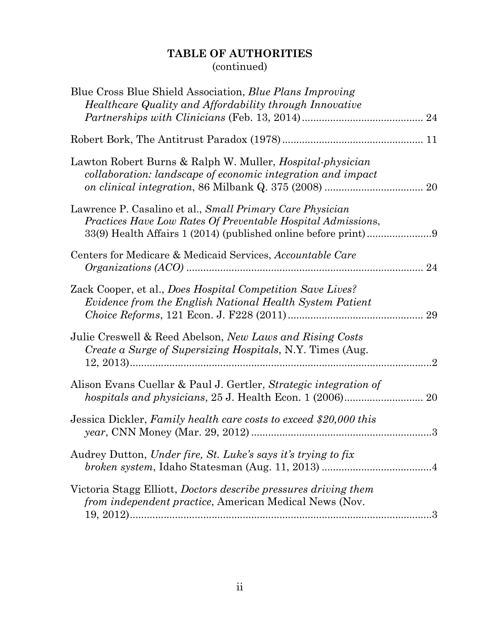# **TABLE OF AUTHORITIES**  (continued)

| Blue Cross Blue Shield Association, <i>Blue Plans Improving</i><br>Healthcare Quality and Affordability through Innovative      |                |
|---------------------------------------------------------------------------------------------------------------------------------|----------------|
|                                                                                                                                 |                |
|                                                                                                                                 |                |
| Lawton Robert Burns & Ralph W. Muller, <i>Hospital-physician</i><br>collaboration: landscape of economic integration and impact |                |
| Lawrence P. Casalino et al., Small Primary Care Physician<br>Practices Have Low Rates Of Preventable Hospital Admissions,       |                |
| Centers for Medicare & Medicaid Services, Accountable Care                                                                      | 24             |
| Zack Cooper, et al., Does Hospital Competition Save Lives?<br>Evidence from the English National Health System Patient          | 29             |
| Julie Creswell & Reed Abelson, New Laws and Rising Costs<br><i>Create a Surge of Supersizing Hospitals, N.Y. Times (Aug.</i>    | $\overline{2}$ |
| Alison Evans Cuellar & Paul J. Gertler, Strategic integration of<br>hospitals and physicians, 25 J. Health Econ. 1 (2006) 20    |                |
| Jessica Dickler, Family health care costs to exceed \$20,000 this                                                               | 3              |
| Audrey Dutton, Under fire, St. Luke's says it's trying to fix                                                                   |                |
| Victoria Stagg Elliott, Doctors describe pressures driving them<br>from independent practice, American Medical News (Nov.       |                |
|                                                                                                                                 |                |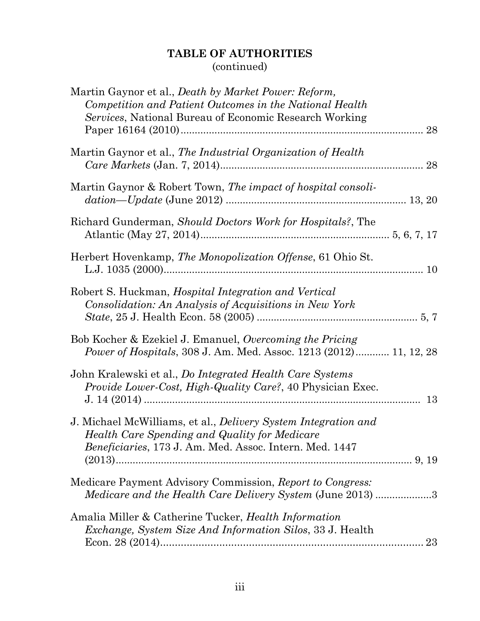# **TABLE OF AUTHORITIES**  (continued)

| Martin Gaynor et al., <i>Death by Market Power: Reform</i> ,<br>Competition and Patient Outcomes in the National Health<br>Services, National Bureau of Economic Research Working |    |
|-----------------------------------------------------------------------------------------------------------------------------------------------------------------------------------|----|
| Martin Gaynor et al., The Industrial Organization of Health                                                                                                                       |    |
| Martin Gaynor & Robert Town, The impact of hospital consoli-                                                                                                                      |    |
| Richard Gunderman, Should Doctors Work for Hospitals?, The                                                                                                                        |    |
| Herbert Hovenkamp, The Monopolization Offense, 61 Ohio St.                                                                                                                        |    |
| Robert S. Huckman, <i>Hospital Integration and Vertical</i><br>Consolidation: An Analysis of Acquisitions in New York                                                             |    |
| Bob Kocher & Ezekiel J. Emanuel, Overcoming the Pricing<br><i>Power of Hospitals, 308 J. Am. Med. Assoc. 1213 (2012) 11, 12, 28</i>                                               |    |
| John Kralewski et al., Do Integrated Health Care Systems<br><i>Provide Lower-Cost, High-Quality Care?, 40 Physician Exec.</i>                                                     | 13 |
| J. Michael McWilliams, et al., <i>Delivery System Integration and</i><br>Health Care Spending and Quality for Medicare<br>Beneficiaries, 173 J. Am. Med. Assoc. Intern. Med. 1447 |    |
| Medicare Payment Advisory Commission, Report to Congress:<br><i>Medicare and the Health Care Delivery System (June 2013) 3</i>                                                    |    |
| Amalia Miller & Catherine Tucker, <i>Health Information</i><br><i>Exchange, System Size And Information Silos, 33 J. Health</i>                                                   | 23 |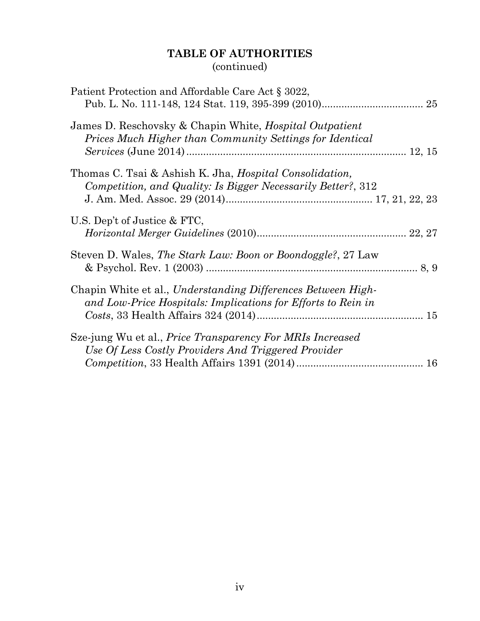# **TABLE OF AUTHORITIES**  (continued)

| Patient Protection and Affordable Care Act § 3022,                                                                              |  |
|---------------------------------------------------------------------------------------------------------------------------------|--|
| James D. Reschovsky & Chapin White, Hospital Outpatient<br>Prices Much Higher than Community Settings for Identical             |  |
| Thomas C. Tsai & Ashish K. Jha, <i>Hospital Consolidation</i> ,<br>Competition, and Quality: Is Bigger Necessarily Better?, 312 |  |
| U.S. Dep't of Justice & FTC,                                                                                                    |  |
| Steven D. Wales, The Stark Law: Boon or Boondoggle?, 27 Law                                                                     |  |
| Chapin White et al., Understanding Differences Between High-<br>and Low-Price Hospitals: Implications for Efforts to Rein in    |  |
| Sze-jung Wu et al., <i>Price Transparency For MRIs Increased</i><br>Use Of Less Costly Providers And Triggered Provider         |  |
|                                                                                                                                 |  |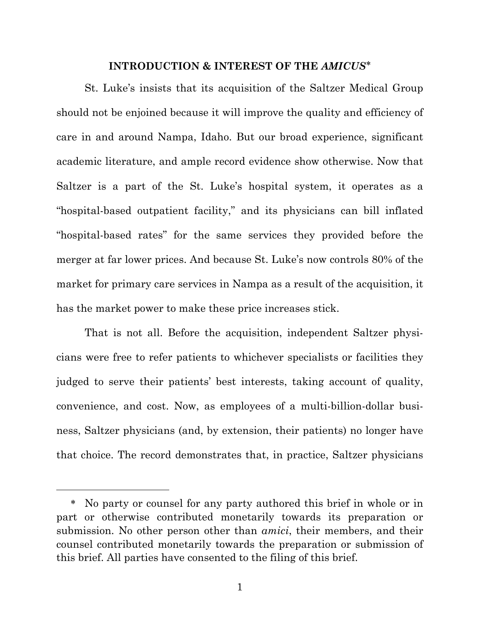## **INTRODUCTION & INTEREST OF THE** *AMICUS*

St. Luke's insists that its acquisition of the Saltzer Medical Group should not be enjoined because it will improve the quality and efficiency of care in and around Nampa, Idaho. But our broad experience, significant academic literature, and ample record evidence show otherwise. Now that Saltzer is a part of the St. Luke's hospital system, it operates as a "hospital-based outpatient facility," and its physicians can bill inflated "hospital-based rates" for the same services they provided before the merger at far lower prices. And because St. Luke's now controls 80% of the market for primary care services in Nampa as a result of the acquisition, it has the market power to make these price increases stick.

That is not all. Before the acquisition, independent Saltzer physicians were free to refer patients to whichever specialists or facilities they judged to serve their patients' best interests, taking account of quality, convenience, and cost. Now, as employees of a multi-billion-dollar business, Saltzer physicians (and, by extension, their patients) no longer have that choice. The record demonstrates that, in practice, Saltzer physicians

-

No party or counsel for any party authored this brief in whole or in part or otherwise contributed monetarily towards its preparation or submission. No other person other than *amici*, their members, and their counsel contributed monetarily towards the preparation or submission of this brief. All parties have consented to the filing of this brief.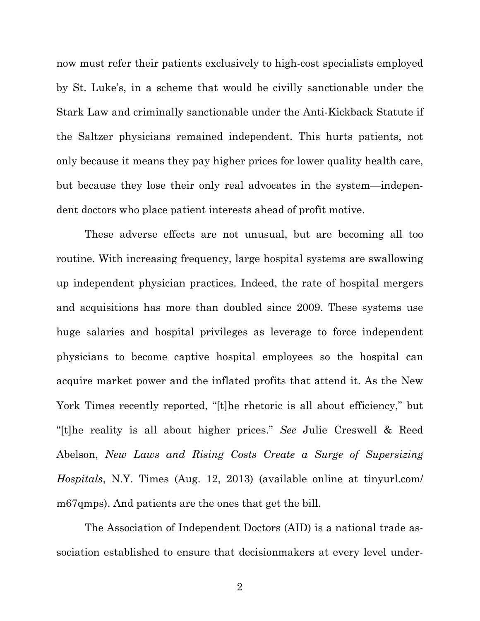now must refer their patients exclusively to high-cost specialists employed by St. Luke's, in a scheme that would be civilly sanctionable under the Stark Law and criminally sanctionable under the Anti-Kickback Statute if the Saltzer physicians remained independent. This hurts patients, not only because it means they pay higher prices for lower quality health care, but because they lose their only real advocates in the system—independent doctors who place patient interests ahead of profit motive.

These adverse effects are not unusual, but are becoming all too routine. With increasing frequency, large hospital systems are swallowing up independent physician practices. Indeed, the rate of hospital mergers and acquisitions has more than doubled since 2009. These systems use huge salaries and hospital privileges as leverage to force independent physicians to become captive hospital employees so the hospital can acquire market power and the inflated profits that attend it. As the New York Times recently reported, "[t]he rhetoric is all about efficiency," but "[t]he reality is all about higher prices." *See* Julie Creswell & Reed Abelson, *New Laws and Rising Costs Create a Surge of Supersizing Hospitals*, N.Y. Times (Aug. 12, 2013) (available online at tinyurl.com/ m67qmps). And patients are the ones that get the bill.

The Association of Independent Doctors (AID) is a national trade association established to ensure that decisionmakers at every level under-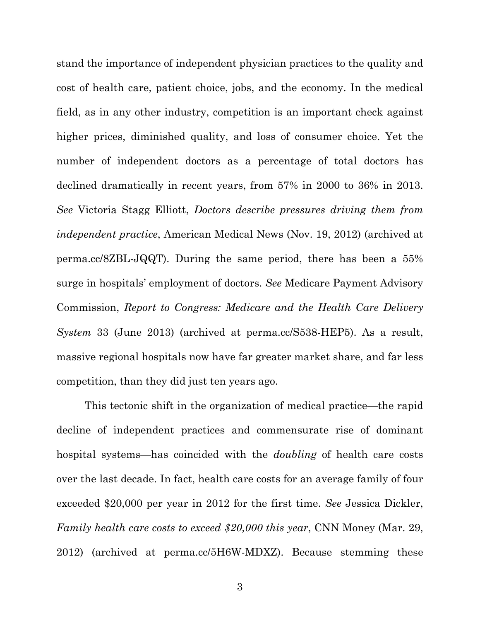stand the importance of independent physician practices to the quality and cost of health care, patient choice, jobs, and the economy. In the medical field, as in any other industry, competition is an important check against higher prices, diminished quality, and loss of consumer choice. Yet the number of independent doctors as a percentage of total doctors has declined dramatically in recent years, from 57% in 2000 to 36% in 2013. *See* Victoria Stagg Elliott, *Doctors describe pressures driving them from independent practice*, American Medical News (Nov. 19, 2012) (archived at perma.cc/8ZBL-JQQT). During the same period, there has been a 55% surge in hospitals' employment of doctors. *See* Medicare Payment Advisory Commission, *Report to Congress: Medicare and the Health Care Delivery System* 33 (June 2013) (archived at perma.cc/S538-HEP5). As a result, massive regional hospitals now have far greater market share, and far less competition, than they did just ten years ago.

This tectonic shift in the organization of medical practice—the rapid decline of independent practices and commensurate rise of dominant hospital systems—has coincided with the *doubling* of health care costs over the last decade. In fact, health care costs for an average family of four exceeded \$20,000 per year in 2012 for the first time. *See* Jessica Dickler, *Family health care costs to exceed \$20,000 this year*, CNN Money (Mar. 29, 2012) (archived at perma.cc/5H6W-MDXZ). Because stemming these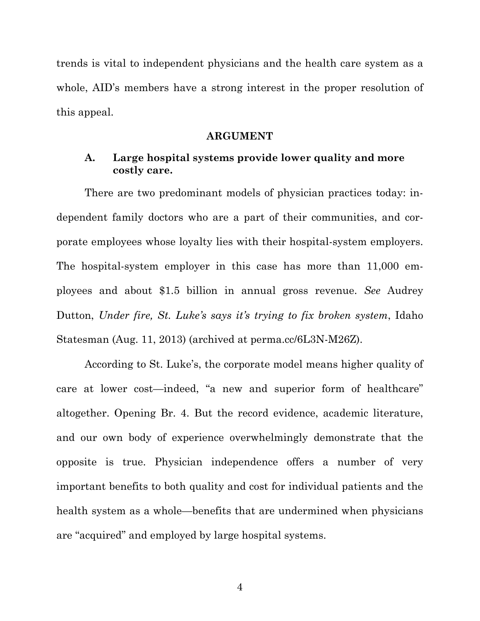trends is vital to independent physicians and the health care system as a whole, AID's members have a strong interest in the proper resolution of this appeal.

#### **ARGUMENT**

#### **A. Large hospital systems provide lower quality and more costly care.**

There are two predominant models of physician practices today: independent family doctors who are a part of their communities, and corporate employees whose loyalty lies with their hospital-system employers. The hospital-system employer in this case has more than 11,000 employees and about \$1.5 billion in annual gross revenue. *See* Audrey Dutton, *Under fire, St. Luke's says it's trying to fix broken system*, Idaho Statesman (Aug. 11, 2013) (archived at perma.cc/6L3N-M26Z).

According to St. Luke's, the corporate model means higher quality of care at lower cost—indeed, "a new and superior form of healthcare" altogether. Opening Br. 4. But the record evidence, academic literature, and our own body of experience overwhelmingly demonstrate that the opposite is true. Physician independence offers a number of very important benefits to both quality and cost for individual patients and the health system as a whole—benefits that are undermined when physicians are "acquired" and employed by large hospital systems.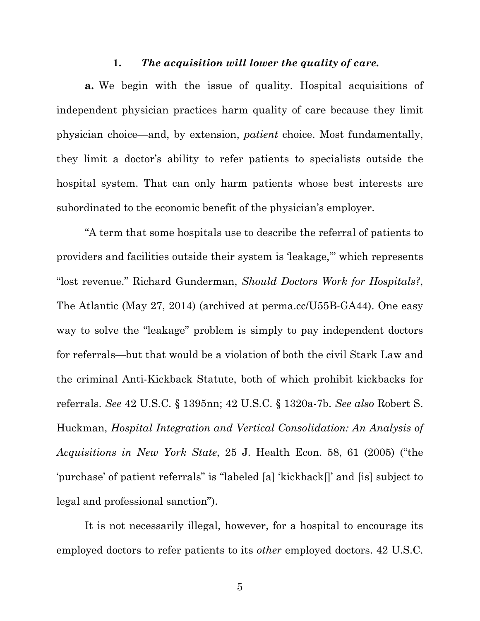#### **1.** *The acquisition will lower the quality of care.*

**a.** We begin with the issue of quality. Hospital acquisitions of independent physician practices harm quality of care because they limit physician choice—and, by extension, *patient* choice. Most fundamentally, they limit a doctor's ability to refer patients to specialists outside the hospital system. That can only harm patients whose best interests are subordinated to the economic benefit of the physician's employer.

"A term that some hospitals use to describe the referral of patients to providers and facilities outside their system is 'leakage,'" which represents "lost revenue." Richard Gunderman, *Should Doctors Work for Hospitals?*, The Atlantic (May 27, 2014) (archived at perma.cc/U55B-GA44). One easy way to solve the "leakage" problem is simply to pay independent doctors for referrals—but that would be a violation of both the civil Stark Law and the criminal Anti-Kickback Statute, both of which prohibit kickbacks for referrals. *See* 42 U.S.C. § 1395nn; 42 U.S.C. § 1320a-7b. *See also* Robert S. Huckman, *Hospital Integration and Vertical Consolidation: An Analysis of Acquisitions in New York State*, 25 J. Health Econ. 58, 61 (2005) ("the 'purchase' of patient referrals" is "labeled [a] 'kickback[]' and [is] subject to legal and professional sanction").

It is not necessarily illegal, however, for a hospital to encourage its employed doctors to refer patients to its *other* employed doctors. 42 U.S.C.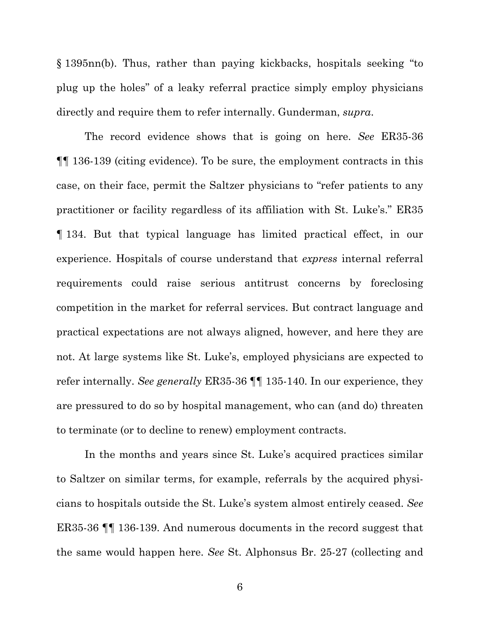§ 1395nn(b). Thus, rather than paying kickbacks, hospitals seeking "to plug up the holes" of a leaky referral practice simply employ physicians directly and require them to refer internally. Gunderman, *supra*.

The record evidence shows that is going on here. *See* ER35-36 ¶¶ 136-139 (citing evidence). To be sure, the employment contracts in this case, on their face, permit the Saltzer physicians to "refer patients to any practitioner or facility regardless of its affiliation with St. Luke's." ER35 ¶ 134. But that typical language has limited practical effect, in our experience. Hospitals of course understand that *express* internal referral requirements could raise serious antitrust concerns by foreclosing competition in the market for referral services. But contract language and practical expectations are not always aligned, however, and here they are not. At large systems like St. Luke's, employed physicians are expected to refer internally. *See generally* ER35-36 ¶¶ 135-140. In our experience, they are pressured to do so by hospital management, who can (and do) threaten to terminate (or to decline to renew) employment contracts.

In the months and years since St. Luke's acquired practices similar to Saltzer on similar terms, for example, referrals by the acquired physicians to hospitals outside the St. Luke's system almost entirely ceased. *See* ER35-36 ¶¶ 136-139. And numerous documents in the record suggest that the same would happen here. *See* St. Alphonsus Br. 25-27 (collecting and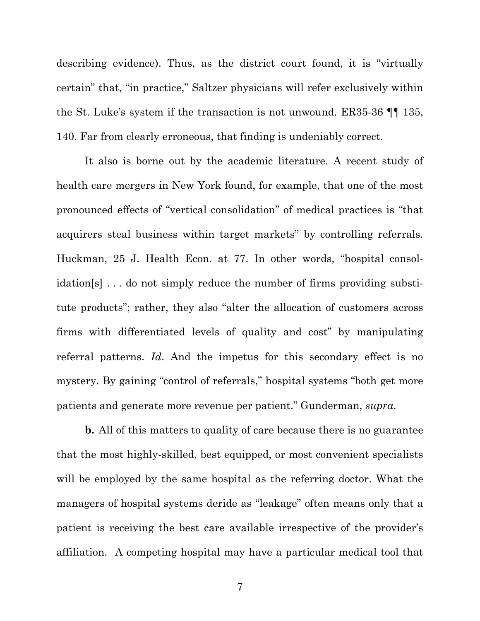describing evidence). Thus, as the district court found, it is "virtually certain" that, "in practice," Saltzer physicians will refer exclusively within the St. Luke's system if the transaction is not unwound. ER35-36 ¶¶ 135, 140. Far from clearly erroneous, that finding is undeniably correct.

It also is borne out by the academic literature. A recent study of health care mergers in New York found, for example, that one of the most pronounced effects of "vertical consolidation" of medical practices is "that acquirers steal business within target markets" by controlling referrals. Huckman, 25 J. Health Econ. at 77. In other words, "hospital consolidation[s] . . . do not simply reduce the number of firms providing substitute products"; rather, they also "alter the allocation of customers across firms with differentiated levels of quality and cost" by manipulating referral patterns. *Id*. And the impetus for this secondary effect is no mystery. By gaining "control of referrals," hospital systems "both get more patients and generate more revenue per patient." Gunderman, *supra*.

**b.** All of this matters to quality of care because there is no guarantee that the most highly-skilled, best equipped, or most convenient specialists will be employed by the same hospital as the referring doctor. What the managers of hospital systems deride as "leakage" often means only that a patient is receiving the best care available irrespective of the provider's affiliation. A competing hospital may have a particular medical tool that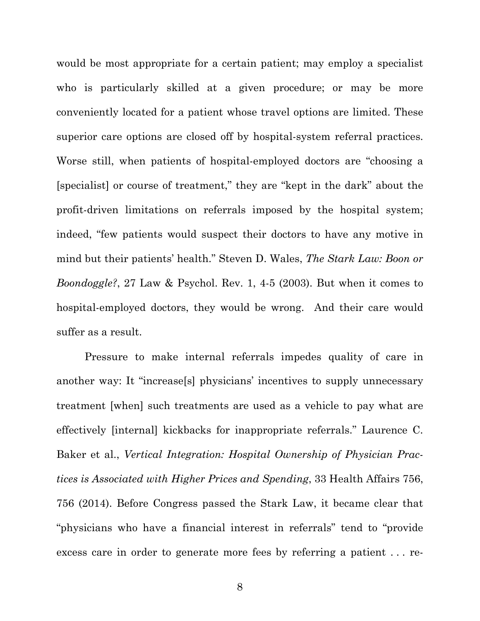would be most appropriate for a certain patient; may employ a specialist who is particularly skilled at a given procedure; or may be more conveniently located for a patient whose travel options are limited. These superior care options are closed off by hospital-system referral practices. Worse still, when patients of hospital-employed doctors are "choosing a [specialist] or course of treatment," they are "kept in the dark" about the profit-driven limitations on referrals imposed by the hospital system; indeed, "few patients would suspect their doctors to have any motive in mind but their patients' health." Steven D. Wales, *The Stark Law: Boon or Boondoggle?*, 27 Law & Psychol. Rev. 1, 4-5 (2003). But when it comes to hospital-employed doctors, they would be wrong. And their care would suffer as a result.

Pressure to make internal referrals impedes quality of care in another way: It "increase[s] physicians' incentives to supply unnecessary treatment [when] such treatments are used as a vehicle to pay what are effectively [internal] kickbacks for inappropriate referrals." Laurence C. Baker et al., *Vertical Integration: Hospital Ownership of Physician Practices is Associated with Higher Prices and Spending*, 33 Health Affairs 756, 756 (2014). Before Congress passed the Stark Law, it became clear that "physicians who have a financial interest in referrals" tend to "provide excess care in order to generate more fees by referring a patient . . . re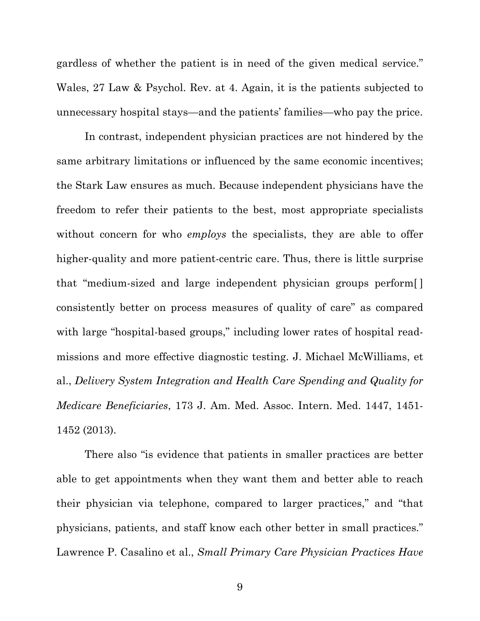gardless of whether the patient is in need of the given medical service." Wales, 27 Law & Psychol. Rev. at 4. Again, it is the patients subjected to unnecessary hospital stays—and the patients' families—who pay the price.

In contrast, independent physician practices are not hindered by the same arbitrary limitations or influenced by the same economic incentives; the Stark Law ensures as much. Because independent physicians have the freedom to refer their patients to the best, most appropriate specialists without concern for who *employs* the specialists, they are able to offer higher-quality and more patient-centric care. Thus, there is little surprise that "medium-sized and large independent physician groups perform[ ] consistently better on process measures of quality of care" as compared with large "hospital-based groups," including lower rates of hospital readmissions and more effective diagnostic testing. J. Michael McWilliams, et al., *Delivery System Integration and Health Care Spending and Quality for Medicare Beneficiaries*, 173 J. Am. Med. Assoc. Intern. Med. 1447, 1451- 1452 (2013).

There also "is evidence that patients in smaller practices are better able to get appointments when they want them and better able to reach their physician via telephone, compared to larger practices," and "that physicians, patients, and staff know each other better in small practices." Lawrence P. Casalino et al., *Small Primary Care Physician Practices Have*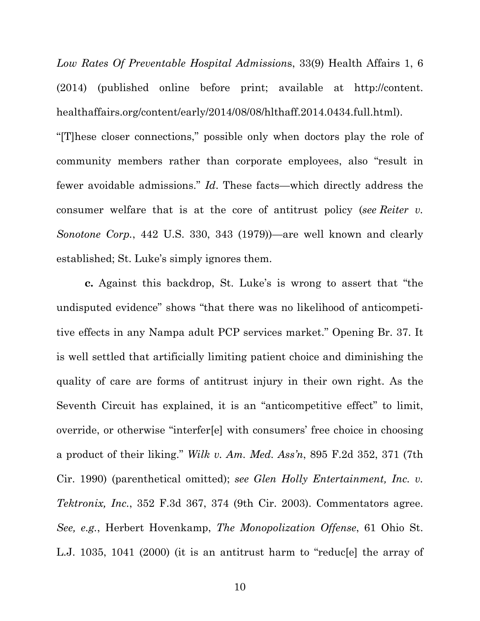*Low Rates Of Preventable Hospital Admission*s, 33(9) Health Affairs 1, 6 (2014) (published online before print; available at http://content. healthaffairs.org/content/early/2014/08/08/hlthaff.2014.0434.full.html). "[T]hese closer connections," possible only when doctors play the role of community members rather than corporate employees, also "result in fewer avoidable admissions." *Id*. These facts—which directly address the consumer welfare that is at the core of antitrust policy (*see Reiter v. Sonotone Corp.*, 442 U.S. 330, 343 (1979))—are well known and clearly established; St. Luke's simply ignores them.

**c.** Against this backdrop, St. Luke's is wrong to assert that "the undisputed evidence" shows "that there was no likelihood of anticompetitive effects in any Nampa adult PCP services market." Opening Br. 37. It is well settled that artificially limiting patient choice and diminishing the quality of care are forms of antitrust injury in their own right. As the Seventh Circuit has explained, it is an "anticompetitive effect" to limit, override, or otherwise "interfer[e] with consumers' free choice in choosing a product of their liking." *Wilk v. Am. Med. Ass'n*, 895 F.2d 352, 371 (7th Cir. 1990) (parenthetical omitted); *see Glen Holly Entertainment, Inc. v. Tektronix, Inc.*, 352 F.3d 367, 374 (9th Cir. 2003). Commentators agree. *See, e.g.*, Herbert Hovenkamp, *The Monopolization Offense*, 61 Ohio St. L.J. 1035, 1041 (2000) (it is an antitrust harm to "reduc[e] the array of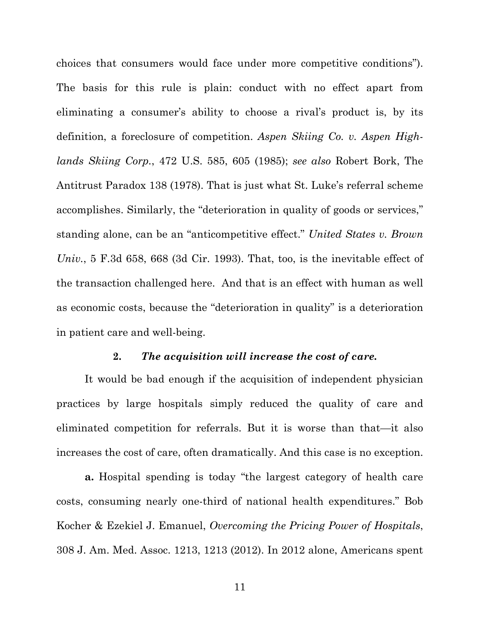choices that consumers would face under more competitive conditions"). The basis for this rule is plain: conduct with no effect apart from eliminating a consumer's ability to choose a rival's product is, by its definition, a foreclosure of competition. *Aspen Skiing Co. v. Aspen Highlands Skiing Corp.*, 472 U.S. 585, 605 (1985); *see also* Robert Bork, The Antitrust Paradox 138 (1978). That is just what St. Luke's referral scheme accomplishes. Similarly, the "deterioration in quality of goods or services," standing alone, can be an "anticompetitive effect." *United States v. Brown Univ.*, 5 F.3d 658, 668 (3d Cir. 1993). That, too, is the inevitable effect of the transaction challenged here. And that is an effect with human as well as economic costs, because the "deterioration in quality" is a deterioration in patient care and well-being.

### **2.** *The acquisition will increase the cost of care.*

It would be bad enough if the acquisition of independent physician practices by large hospitals simply reduced the quality of care and eliminated competition for referrals. But it is worse than that—it also increases the cost of care, often dramatically. And this case is no exception.

**a.** Hospital spending is today "the largest category of health care costs, consuming nearly one-third of national health expenditures." Bob Kocher & Ezekiel J. Emanuel, *Overcoming the Pricing Power of Hospitals*, 308 J. Am. Med. Assoc. 1213, 1213 (2012). In 2012 alone, Americans spent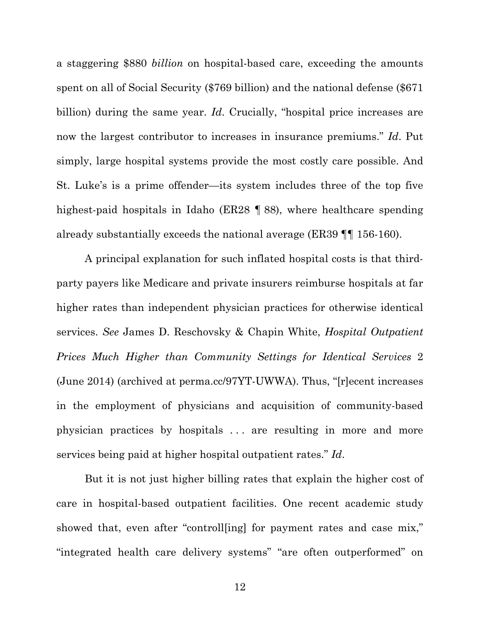a staggering \$880 *billion* on hospital-based care, exceeding the amounts spent on all of Social Security (\$769 billion) and the national defense (\$671 billion) during the same year. *Id*. Crucially, "hospital price increases are now the largest contributor to increases in insurance premiums." *Id*. Put simply, large hospital systems provide the most costly care possible. And St. Luke's is a prime offender—its system includes three of the top five highest-paid hospitals in Idaho (ER28 ¶ 88), where healthcare spending already substantially exceeds the national average (ER39 ¶¶ 156-160).

A principal explanation for such inflated hospital costs is that thirdparty payers like Medicare and private insurers reimburse hospitals at far higher rates than independent physician practices for otherwise identical services. *See* James D. Reschovsky & Chapin White, *Hospital Outpatient Prices Much Higher than Community Settings for Identical Services* 2 (June 2014) (archived at perma.cc/97YT-UWWA). Thus, "[r]ecent increases in the employment of physicians and acquisition of community-based physician practices by hospitals . . . are resulting in more and more services being paid at higher hospital outpatient rates." *Id*.

But it is not just higher billing rates that explain the higher cost of care in hospital-based outpatient facilities. One recent academic study showed that, even after "controll[ing] for payment rates and case mix," "integrated health care delivery systems" "are often outperformed" on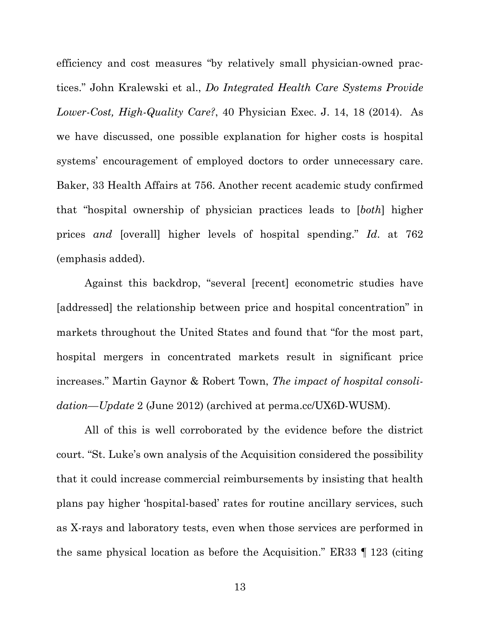efficiency and cost measures "by relatively small physician-owned practices." John Kralewski et al., *Do Integrated Health Care Systems Provide Lower-Cost, High-Quality Care?*, 40 Physician Exec. J. 14, 18 (2014). As we have discussed, one possible explanation for higher costs is hospital systems' encouragement of employed doctors to order unnecessary care. Baker, 33 Health Affairs at 756. Another recent academic study confirmed that "hospital ownership of physician practices leads to [*both*] higher prices *and* [overall] higher levels of hospital spending." *Id*. at 762 (emphasis added).

Against this backdrop, "several [recent] econometric studies have [addressed] the relationship between price and hospital concentration" in markets throughout the United States and found that "for the most part, hospital mergers in concentrated markets result in significant price increases." Martin Gaynor & Robert Town, *The impact of hospital consolidation—Update* 2 (June 2012) (archived at perma.cc/UX6D-WUSM).

All of this is well corroborated by the evidence before the district court. "St. Luke's own analysis of the Acquisition considered the possibility that it could increase commercial reimbursements by insisting that health plans pay higher 'hospital-based' rates for routine ancillary services, such as X-rays and laboratory tests, even when those services are performed in the same physical location as before the Acquisition." ER33 ¶ 123 (citing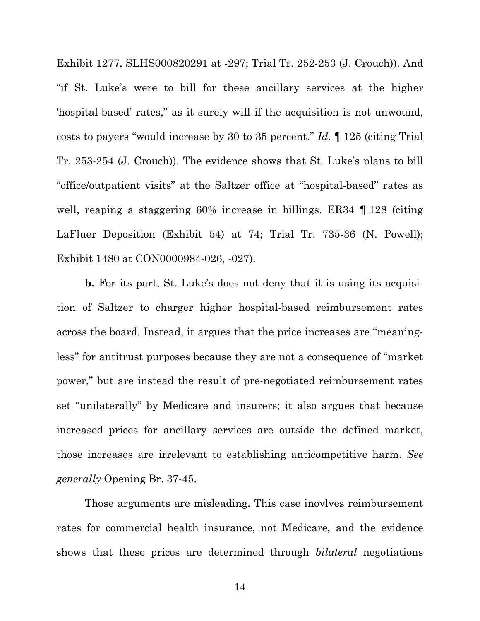Exhibit 1277, SLHS000820291 at -297; Trial Tr. 252-253 (J. Crouch)). And "if St. Luke's were to bill for these ancillary services at the higher 'hospital-based' rates," as it surely will if the acquisition is not unwound, costs to payers "would increase by 30 to 35 percent." *Id*. ¶ 125 (citing Trial Tr. 253-254 (J. Crouch)). The evidence shows that St. Luke's plans to bill "office/outpatient visits" at the Saltzer office at "hospital-based" rates as well, reaping a staggering 60% increase in billings. ER34 ¶ 128 (citing LaFluer Deposition (Exhibit 54) at 74; Trial Tr. 735-36 (N. Powell); Exhibit 1480 at CON0000984-026, -027).

**b.** For its part, St. Luke's does not deny that it is using its acquisition of Saltzer to charger higher hospital-based reimbursement rates across the board. Instead, it argues that the price increases are "meaningless" for antitrust purposes because they are not a consequence of "market power," but are instead the result of pre-negotiated reimbursement rates set "unilaterally" by Medicare and insurers; it also argues that because increased prices for ancillary services are outside the defined market, those increases are irrelevant to establishing anticompetitive harm. *See generally* Opening Br. 37-45.

Those arguments are misleading. This case inovlves reimbursement rates for commercial health insurance, not Medicare, and the evidence shows that these prices are determined through *bilateral* negotiations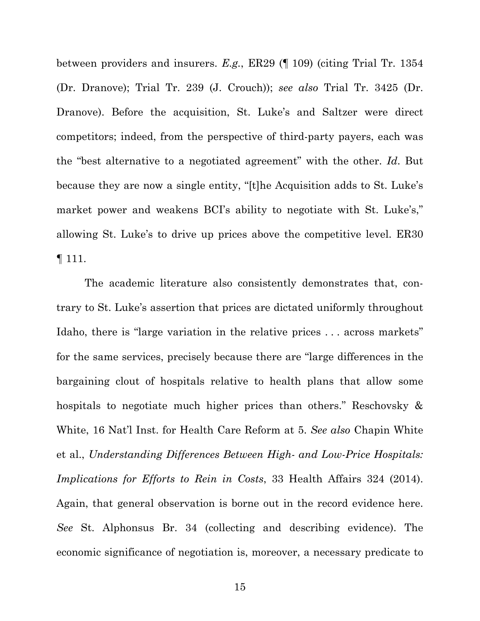between providers and insurers. *E.g.*, ER29 (¶ 109) (citing Trial Tr. 1354 (Dr. Dranove); Trial Tr. 239 (J. Crouch)); *see also* Trial Tr. 3425 (Dr. Dranove). Before the acquisition, St. Luke's and Saltzer were direct competitors; indeed, from the perspective of third-party payers, each was the "best alternative to a negotiated agreement" with the other. *Id*. But because they are now a single entity, "[t]he Acquisition adds to St. Luke's market power and weakens BCI's ability to negotiate with St. Luke's," allowing St. Luke's to drive up prices above the competitive level. ER30 ¶ 111.

The academic literature also consistently demonstrates that, contrary to St. Luke's assertion that prices are dictated uniformly throughout Idaho, there is "large variation in the relative prices . . . across markets" for the same services, precisely because there are "large differences in the bargaining clout of hospitals relative to health plans that allow some hospitals to negotiate much higher prices than others." Reschovsky & White, 16 Nat'l Inst. for Health Care Reform at 5. *See also* Chapin White et al., *Understanding Differences Between High- and Low-Price Hospitals: Implications for Efforts to Rein in Costs*, 33 Health Affairs 324 (2014). Again, that general observation is borne out in the record evidence here. *See* St. Alphonsus Br. 34 (collecting and describing evidence). The economic significance of negotiation is, moreover, a necessary predicate to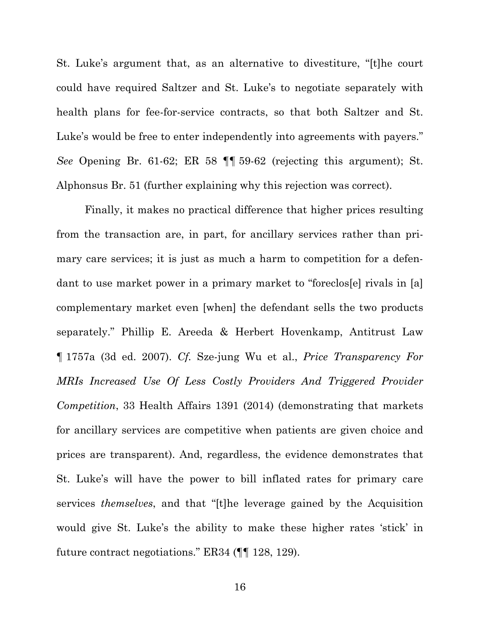St. Luke's argument that, as an alternative to divestiture, "[t]he court could have required Saltzer and St. Luke's to negotiate separately with health plans for fee-for-service contracts, so that both Saltzer and St. Luke's would be free to enter independently into agreements with payers." *See* Opening Br. 61-62; ER 58 ¶¶ 59-62 (rejecting this argument); St. Alphonsus Br. 51 (further explaining why this rejection was correct).

Finally, it makes no practical difference that higher prices resulting from the transaction are, in part, for ancillary services rather than primary care services; it is just as much a harm to competition for a defendant to use market power in a primary market to "foreclos[e] rivals in [a] complementary market even [when] the defendant sells the two products separately." Phillip E. Areeda & Herbert Hovenkamp, Antitrust Law ¶ 1757a (3d ed. 2007). *Cf.* Sze-jung Wu et al., *Price Transparency For MRIs Increased Use Of Less Costly Providers And Triggered Provider Competition*, 33 Health Affairs 1391 (2014) (demonstrating that markets for ancillary services are competitive when patients are given choice and prices are transparent). And, regardless, the evidence demonstrates that St. Luke's will have the power to bill inflated rates for primary care services *themselves*, and that "[t]he leverage gained by the Acquisition would give St. Luke's the ability to make these higher rates 'stick' in future contract negotiations." ER34 (¶¶ 128, 129).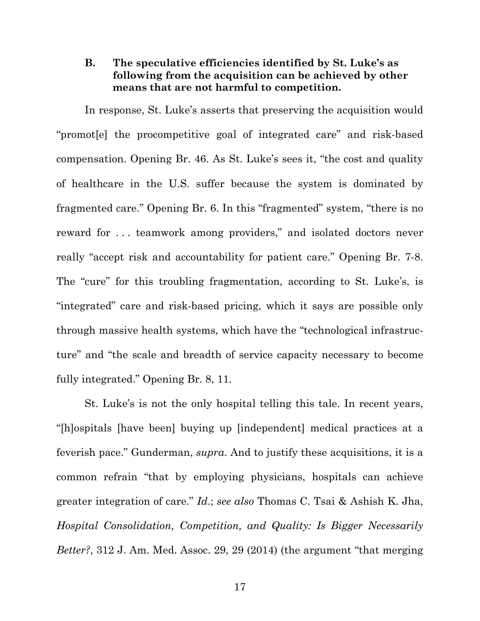## **B. The speculative efficiencies identified by St. Luke's as following from the acquisition can be achieved by other means that are not harmful to competition.**

In response, St. Luke's asserts that preserving the acquisition would "promot[e] the procompetitive goal of integrated care" and risk-based compensation. Opening Br. 46. As St. Luke's sees it, "the cost and quality of healthcare in the U.S. suffer because the system is dominated by fragmented care." Opening Br. 6. In this "fragmented" system, "there is no reward for . . . teamwork among providers," and isolated doctors never really "accept risk and accountability for patient care." Opening Br. 7-8. The "cure" for this troubling fragmentation, according to St. Luke's, is "integrated" care and risk-based pricing, which it says are possible only through massive health systems, which have the "technological infrastructure" and "the scale and breadth of service capacity necessary to become fully integrated." Opening Br. 8, 11.

St. Luke's is not the only hospital telling this tale. In recent years, "[h]ospitals [have been] buying up [independent] medical practices at a feverish pace." Gunderman, *supra*. And to justify these acquisitions, it is a common refrain "that by employing physicians, hospitals can achieve greater integration of care." *Id*.; *see also* Thomas C. Tsai & Ashish K. Jha, *Hospital Consolidation, Competition, and Quality: Is Bigger Necessarily Better?*, 312 J. Am. Med. Assoc. 29, 29 (2014) (the argument "that merging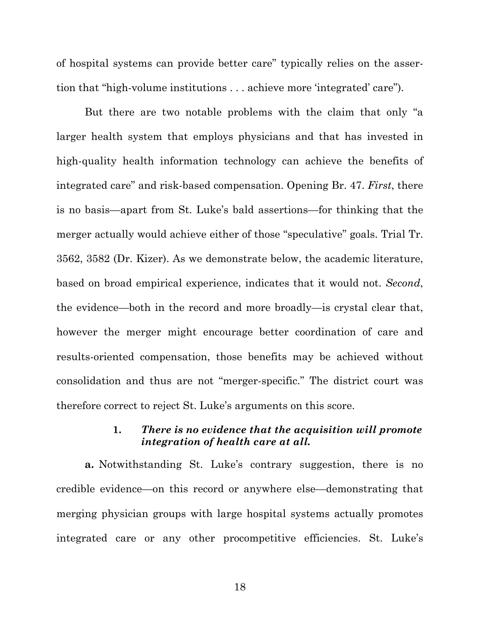of hospital systems can provide better care" typically relies on the assertion that "high-volume institutions . . . achieve more 'integrated' care").

But there are two notable problems with the claim that only "a larger health system that employs physicians and that has invested in high-quality health information technology can achieve the benefits of integrated care" and risk-based compensation. Opening Br. 47. *First*, there is no basis—apart from St. Luke's bald assertions—for thinking that the merger actually would achieve either of those "speculative" goals. Trial Tr. 3562, 3582 (Dr. Kizer). As we demonstrate below, the academic literature, based on broad empirical experience, indicates that it would not. *Second*, the evidence—both in the record and more broadly—is crystal clear that, however the merger might encourage better coordination of care and results-oriented compensation, those benefits may be achieved without consolidation and thus are not "merger-specific." The district court was therefore correct to reject St. Luke's arguments on this score.

#### **1.** *There is no evidence that the acquisition will promote integration of health care at all.*

**a.** Notwithstanding St. Luke's contrary suggestion, there is no credible evidence—on this record or anywhere else—demonstrating that merging physician groups with large hospital systems actually promotes integrated care or any other procompetitive efficiencies. St. Luke's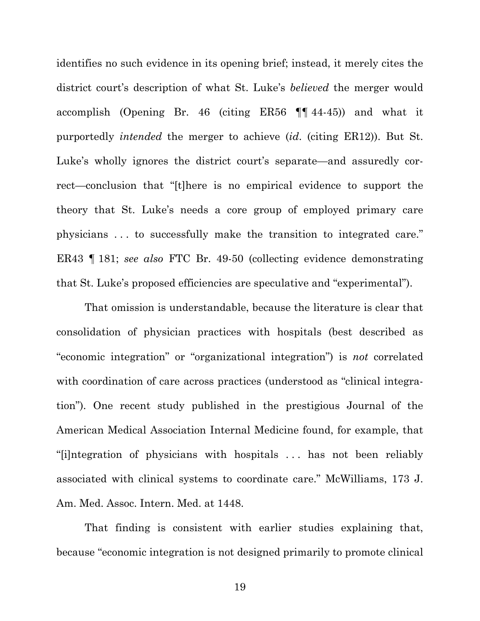identifies no such evidence in its opening brief; instead, it merely cites the district court's description of what St. Luke's *believed* the merger would accomplish (Opening Br. 46 (citing ER56 ¶¶ 44-45)) and what it purportedly *intended* the merger to achieve (*id*. (citing ER12)). But St. Luke's wholly ignores the district court's separate—and assuredly correct—conclusion that "[t]here is no empirical evidence to support the theory that St. Luke's needs a core group of employed primary care physicians . . . to successfully make the transition to integrated care." ER43 ¶ 181; *see also* FTC Br. 49-50 (collecting evidence demonstrating that St. Luke's proposed efficiencies are speculative and "experimental").

That omission is understandable, because the literature is clear that consolidation of physician practices with hospitals (best described as "economic integration" or "organizational integration") is *not* correlated with coordination of care across practices (understood as "clinical integration"). One recent study published in the prestigious Journal of the American Medical Association Internal Medicine found, for example, that "[i]ntegration of physicians with hospitals . . . has not been reliably associated with clinical systems to coordinate care." McWilliams, 173 J. Am. Med. Assoc. Intern. Med. at 1448.

That finding is consistent with earlier studies explaining that, because "economic integration is not designed primarily to promote clinical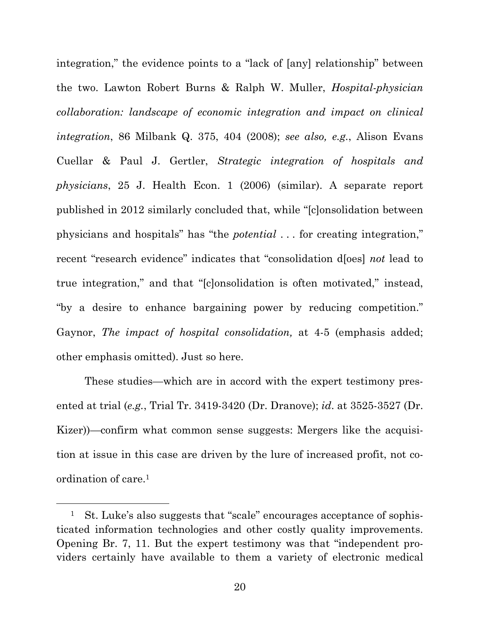integration," the evidence points to a "lack of [any] relationship" between the two. Lawton Robert Burns & Ralph W. Muller, *Hospital-physician collaboration: landscape of economic integration and impact on clinical integration*, 86 Milbank Q. 375, 404 (2008); *see also, e.g.*, Alison Evans Cuellar & Paul J. Gertler, *Strategic integration of hospitals and physicians*, 25 J. Health Econ. 1 (2006) (similar). A separate report published in 2012 similarly concluded that, while "[c]onsolidation between physicians and hospitals" has "the *potential* . . . for creating integration," recent "research evidence" indicates that "consolidation d[oes] *not* lead to true integration," and that "[c]onsolidation is often motivated," instead, "by a desire to enhance bargaining power by reducing competition." Gaynor, *The impact of hospital consolidation,* at 4-5 (emphasis added; other emphasis omitted). Just so here.

These studies—which are in accord with the expert testimony presented at trial (*e.g.*, Trial Tr. 3419-3420 (Dr. Dranove); *id*. at 3525-3527 (Dr. Kizer))—confirm what common sense suggests: Mergers like the acquisition at issue in this case are driven by the lure of increased profit, not coordination of care.1

 <sup>1</sup> St. Luke's also suggests that "scale" encourages acceptance of sophisticated information technologies and other costly quality improvements. Opening Br. 7, 11. But the expert testimony was that "independent providers certainly have available to them a variety of electronic medical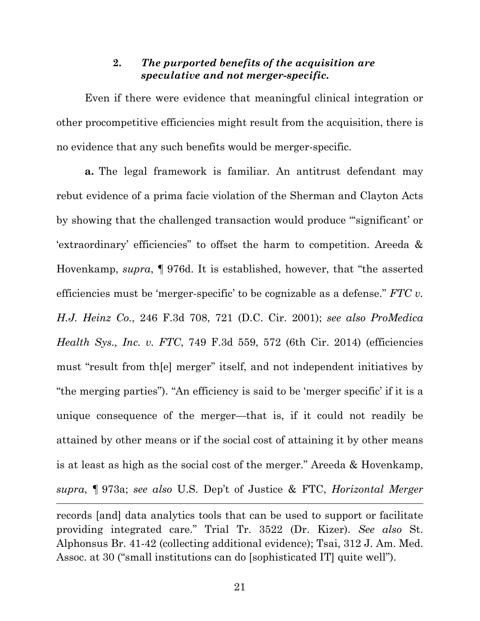### **2.** *The purported benefits of the acquisition are speculative and not merger-specific.*

Even if there were evidence that meaningful clinical integration or other procompetitive efficiencies might result from the acquisition, there is no evidence that any such benefits would be merger-specific.

**a.** The legal framework is familiar. An antitrust defendant may rebut evidence of a prima facie violation of the Sherman and Clayton Acts by showing that the challenged transaction would produce "'significant' or 'extraordinary' efficiencies" to offset the harm to competition. Areeda & Hovenkamp, *supra*, ¶ 976d. It is established, however, that "the asserted efficiencies must be 'merger-specific' to be cognizable as a defense." *FTC v. H.J. Heinz Co.*, 246 F.3d 708, 721 (D.C. Cir. 2001); *see also ProMedica Health Sys., Inc. v. FTC*, 749 F.3d 559, 572 (6th Cir. 2014) (efficiencies must "result from th[e] merger" itself, and not independent initiatives by "the merging parties"). "An efficiency is said to be 'merger specific' if it is a unique consequence of the merger—that is, if it could not readily be attained by other means or if the social cost of attaining it by other means is at least as high as the social cost of the merger." Areeda & Hovenkamp, *supra*, ¶ 973a; *see also* U.S. Dep't of Justice & FTC, *Horizontal Merger* 

records [and] data analytics tools that can be used to support or facilitate providing integrated care." Trial Tr. 3522 (Dr. Kizer). *See also* St. Alphonsus Br. 41-42 (collecting additional evidence); Tsai, 312 J. Am. Med. Assoc. at 30 ("small institutions can do [sophisticated IT] quite well").

-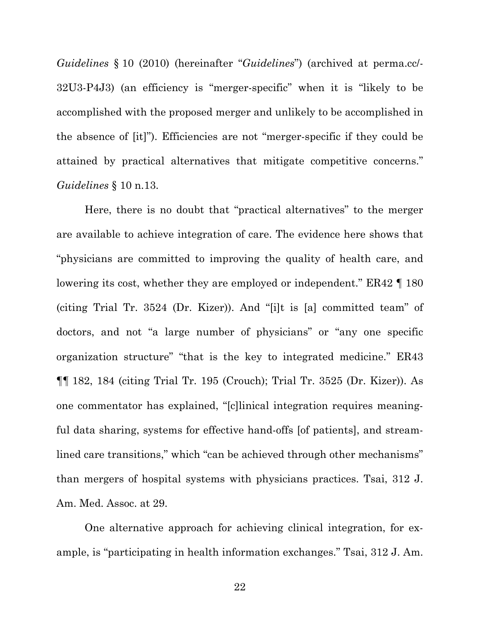*Guidelines* § 10 (2010) (hereinafter "*Guidelines*") (archived at perma.cc/- 32U3-P4J3) (an efficiency is "merger-specific" when it is "likely to be accomplished with the proposed merger and unlikely to be accomplished in the absence of [it]"). Efficiencies are not "merger-specific if they could be attained by practical alternatives that mitigate competitive concerns." *Guidelines* § 10 n.13.

Here, there is no doubt that "practical alternatives" to the merger are available to achieve integration of care. The evidence here shows that "physicians are committed to improving the quality of health care, and lowering its cost, whether they are employed or independent." ER42 ¶ 180 (citing Trial Tr. 3524 (Dr. Kizer)). And "[i]t is [a] committed team" of doctors, and not "a large number of physicians" or "any one specific organization structure" "that is the key to integrated medicine." ER43 ¶¶ 182, 184 (citing Trial Tr. 195 (Crouch); Trial Tr. 3525 (Dr. Kizer)). As one commentator has explained, "[c]linical integration requires meaningful data sharing, systems for effective hand-offs [of patients], and streamlined care transitions," which "can be achieved through other mechanisms" than mergers of hospital systems with physicians practices. Tsai, 312 J. Am. Med. Assoc. at 29.

One alternative approach for achieving clinical integration, for example, is "participating in health information exchanges." Tsai, 312 J. Am.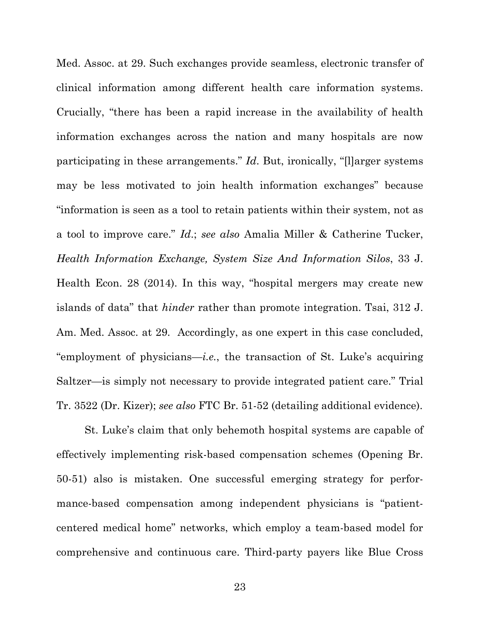Med. Assoc. at 29. Such exchanges provide seamless, electronic transfer of clinical information among different health care information systems. Crucially, "there has been a rapid increase in the availability of health information exchanges across the nation and many hospitals are now participating in these arrangements." *Id*. But, ironically, "[l]arger systems may be less motivated to join health information exchanges" because "information is seen as a tool to retain patients within their system, not as a tool to improve care." *Id*.; *see also* Amalia Miller & Catherine Tucker, *Health Information Exchange, System Size And Information Silos*, 33 J. Health Econ. 28 (2014). In this way, "hospital mergers may create new islands of data" that *hinder* rather than promote integration. Tsai, 312 J. Am. Med. Assoc. at 29. Accordingly, as one expert in this case concluded, "employment of physicians—*i.e.*, the transaction of St. Luke's acquiring Saltzer—is simply not necessary to provide integrated patient care." Trial Tr. 3522 (Dr. Kizer); *see also* FTC Br. 51-52 (detailing additional evidence).

St. Luke's claim that only behemoth hospital systems are capable of effectively implementing risk-based compensation schemes (Opening Br. 50-51) also is mistaken. One successful emerging strategy for performance-based compensation among independent physicians is "patientcentered medical home" networks, which employ a team-based model for comprehensive and continuous care. Third-party payers like Blue Cross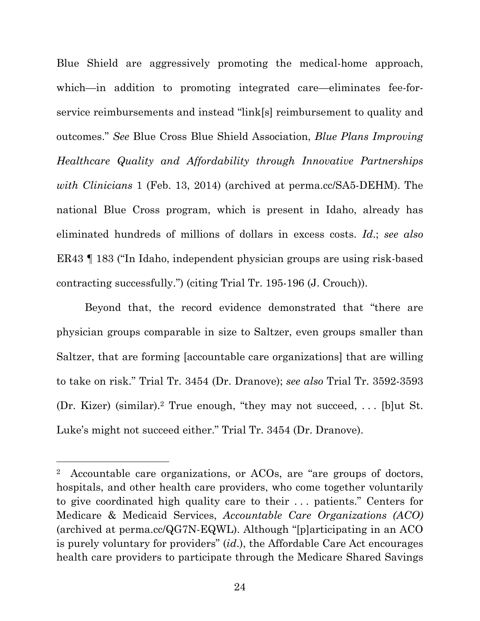Blue Shield are aggressively promoting the medical-home approach, which—in addition to promoting integrated care—eliminates fee-forservice reimbursements and instead "link[s] reimbursement to quality and outcomes." *See* Blue Cross Blue Shield Association, *Blue Plans Improving Healthcare Quality and Affordability through Innovative Partnerships with Clinicians* 1 (Feb. 13, 2014) (archived at perma.cc/SA5-DEHM). The national Blue Cross program, which is present in Idaho, already has eliminated hundreds of millions of dollars in excess costs. *Id*.; *see also*  ER43 ¶ 183 ("In Idaho, independent physician groups are using risk-based contracting successfully.") (citing Trial Tr. 195-196 (J. Crouch)).

Beyond that, the record evidence demonstrated that "there are physician groups comparable in size to Saltzer, even groups smaller than Saltzer, that are forming [accountable care organizations] that are willing to take on risk." Trial Tr. 3454 (Dr. Dranove); *see also* Trial Tr. 3592-3593 (Dr. Kizer) (similar).2 True enough, "they may not succeed, . . . [b]ut St. Luke's might not succeed either." Trial Tr. 3454 (Dr. Dranove).

-

<sup>2</sup> Accountable care organizations, or ACOs, are "are groups of doctors, hospitals, and other health care providers, who come together voluntarily to give coordinated high quality care to their . . . patients." Centers for Medicare & Medicaid Services, *Accountable Care Organizations (ACO)* (archived at perma.cc/QG7N-EQWL). Although "[p]articipating in an ACO is purely voluntary for providers" (*id*.), the Affordable Care Act encourages health care providers to participate through the Medicare Shared Savings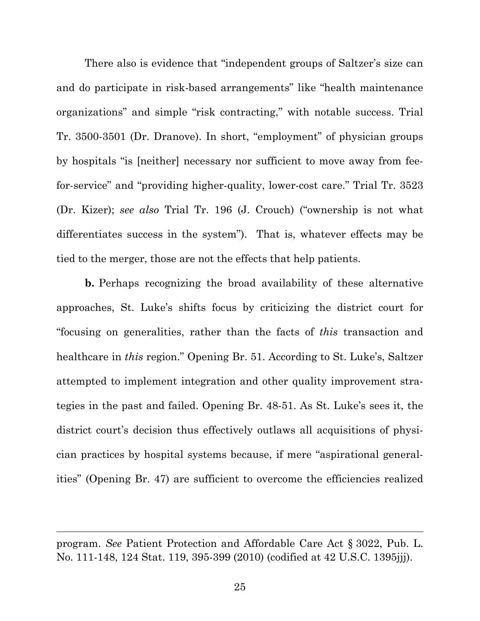There also is evidence that "independent groups of Saltzer's size can and do participate in risk-based arrangements" like "health maintenance organizations" and simple "risk contracting," with notable success. Trial Tr. 3500-3501 (Dr. Dranove). In short, "employment" of physician groups by hospitals "is [neither] necessary nor sufficient to move away from feefor-service" and "providing higher-quality, lower-cost care." Trial Tr. 3523 (Dr. Kizer); *see also* Trial Tr. 196 (J. Crouch) ("ownership is not what differentiates success in the system"). That is, whatever effects may be tied to the merger, those are not the effects that help patients.

**b.** Perhaps recognizing the broad availability of these alternative approaches, St. Luke's shifts focus by criticizing the district court for "focusing on generalities, rather than the facts of *this* transaction and healthcare in *this* region." Opening Br. 51. According to St. Luke's, Saltzer attempted to implement integration and other quality improvement strategies in the past and failed. Opening Br. 48-51. As St. Luke's sees it, the district court's decision thus effectively outlaws all acquisitions of physician practices by hospital systems because, if mere "aspirational generalities" (Opening Br. 47) are sufficient to overcome the efficiencies realized

-

program. *See* Patient Protection and Affordable Care Act § 3022, Pub. L. No. 111-148, 124 Stat. 119, 395-399 (2010) (codified at 42 U.S.C. 1395jjj).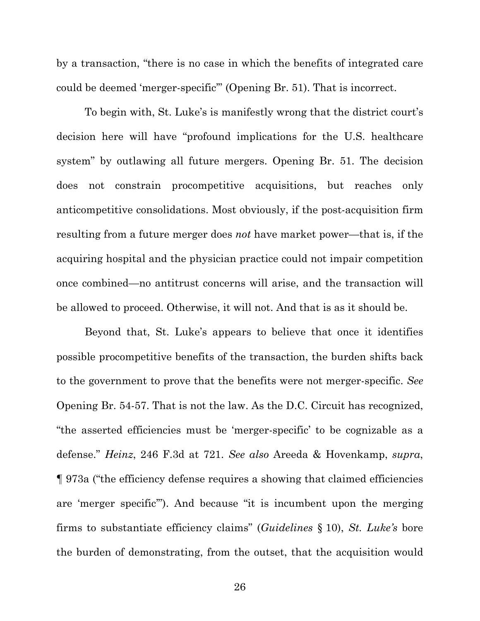by a transaction, "there is no case in which the benefits of integrated care could be deemed 'merger-specific'" (Opening Br. 51). That is incorrect.

To begin with, St. Luke's is manifestly wrong that the district court's decision here will have "profound implications for the U.S. healthcare system" by outlawing all future mergers. Opening Br. 51. The decision does not constrain procompetitive acquisitions, but reaches only anticompetitive consolidations. Most obviously, if the post-acquisition firm resulting from a future merger does *not* have market power—that is, if the acquiring hospital and the physician practice could not impair competition once combined—no antitrust concerns will arise, and the transaction will be allowed to proceed. Otherwise, it will not. And that is as it should be.

Beyond that, St. Luke's appears to believe that once it identifies possible procompetitive benefits of the transaction, the burden shifts back to the government to prove that the benefits were not merger-specific. *See* Opening Br. 54-57. That is not the law. As the D.C. Circuit has recognized, "the asserted efficiencies must be 'merger-specific' to be cognizable as a defense." *Heinz*, 246 F.3d at 721. *See also* Areeda & Hovenkamp, *supra*, ¶ 973a ("the efficiency defense requires a showing that claimed efficiencies are 'merger specific'"). And because "it is incumbent upon the merging firms to substantiate efficiency claims" (*Guidelines* § 10), *St. Luke's* bore the burden of demonstrating, from the outset, that the acquisition would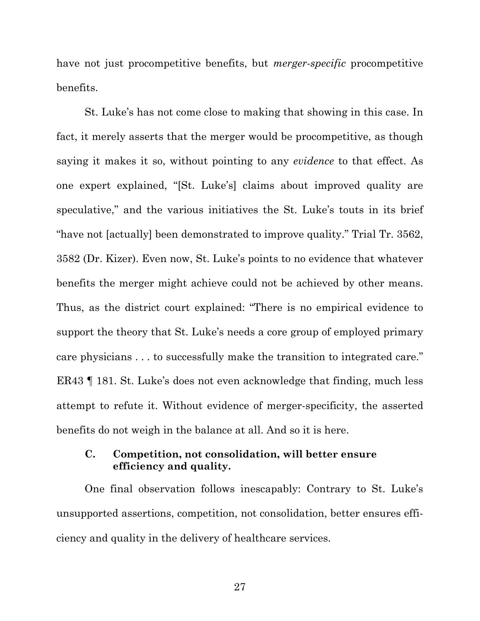have not just procompetitive benefits, but *merger-specific* procompetitive benefits.

St. Luke's has not come close to making that showing in this case. In fact, it merely asserts that the merger would be procompetitive, as though saying it makes it so, without pointing to any *evidence* to that effect. As one expert explained, "[St. Luke's] claims about improved quality are speculative," and the various initiatives the St. Luke's touts in its brief "have not [actually] been demonstrated to improve quality." Trial Tr. 3562, 3582 (Dr. Kizer). Even now, St. Luke's points to no evidence that whatever benefits the merger might achieve could not be achieved by other means. Thus, as the district court explained: "There is no empirical evidence to support the theory that St. Luke's needs a core group of employed primary care physicians . . . to successfully make the transition to integrated care." ER43 ¶ 181. St. Luke's does not even acknowledge that finding, much less attempt to refute it. Without evidence of merger-specificity, the asserted benefits do not weigh in the balance at all. And so it is here.

### **C. Competition, not consolidation, will better ensure efficiency and quality.**

One final observation follows inescapably: Contrary to St. Luke's unsupported assertions, competition, not consolidation, better ensures efficiency and quality in the delivery of healthcare services.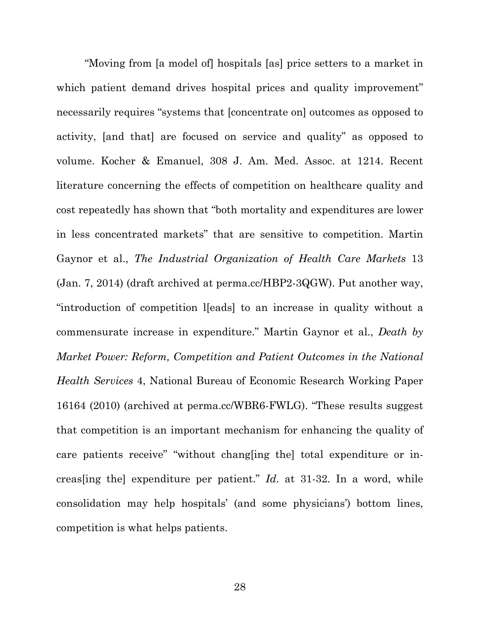"Moving from [a model of] hospitals [as] price setters to a market in which patient demand drives hospital prices and quality improvement" necessarily requires "systems that [concentrate on] outcomes as opposed to activity, [and that] are focused on service and quality" as opposed to volume. Kocher & Emanuel, 308 J. Am. Med. Assoc. at 1214. Recent literature concerning the effects of competition on healthcare quality and cost repeatedly has shown that "both mortality and expenditures are lower in less concentrated markets" that are sensitive to competition. Martin Gaynor et al., *The Industrial Organization of Health Care Markets* 13 (Jan. 7, 2014) (draft archived at perma.cc/HBP2-3QGW). Put another way, "introduction of competition l[eads] to an increase in quality without a commensurate increase in expenditure." Martin Gaynor et al., *Death by Market Power: Reform, Competition and Patient Outcomes in the National Health Services* 4, National Bureau of Economic Research Working Paper 16164 (2010) (archived at perma.cc/WBR6-FWLG). "These results suggest that competition is an important mechanism for enhancing the quality of care patients receive" "without chang[ing the] total expenditure or increas[ing the] expenditure per patient." *Id*. at 31-32. In a word, while consolidation may help hospitals' (and some physicians') bottom lines, competition is what helps patients.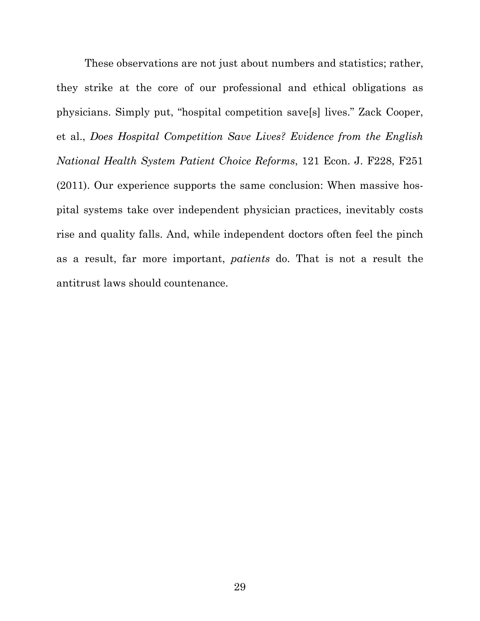These observations are not just about numbers and statistics; rather, they strike at the core of our professional and ethical obligations as physicians. Simply put, "hospital competition save[s] lives." Zack Cooper, et al., *Does Hospital Competition Save Lives? Evidence from the English National Health System Patient Choice Reforms*, 121 Econ. J. F228, F251 (2011). Our experience supports the same conclusion: When massive hospital systems take over independent physician practices, inevitably costs rise and quality falls. And, while independent doctors often feel the pinch as a result, far more important, *patients* do. That is not a result the antitrust laws should countenance.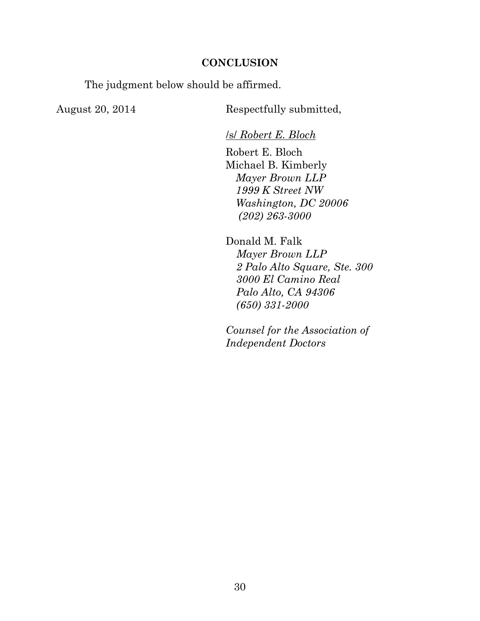#### **CONCLUSION**

The judgment below should be affirmed.

August 20, 2014 Respectfully submitted,

/s/ *Robert E. Bloch*

Robert E. Bloch Michael B. Kimberly *Mayer Brown LLP 1999 K Street NW Washington, DC 20006 (202) 263-3000*

Donald M. Falk *Mayer Brown LLP 2 Palo Alto Square, Ste. 300 3000 El Camino Real Palo Alto, CA 94306 (650) 331-2000*

*Counsel for the Association of Independent Doctors*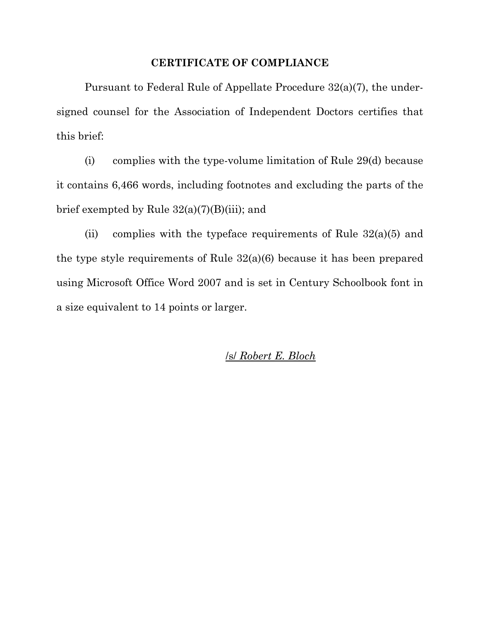#### **CERTIFICATE OF COMPLIANCE**

Pursuant to Federal Rule of Appellate Procedure 32(a)(7), the undersigned counsel for the Association of Independent Doctors certifies that this brief:

(i) complies with the type-volume limitation of Rule 29(d) because it contains 6,466 words, including footnotes and excluding the parts of the brief exempted by Rule 32(a)(7)(B)(iii); and

(ii) complies with the typeface requirements of Rule  $32(a)(5)$  and the type style requirements of Rule 32(a)(6) because it has been prepared using Microsoft Office Word 2007 and is set in Century Schoolbook font in a size equivalent to 14 points or larger.

/s/ *Robert E. Bloch*